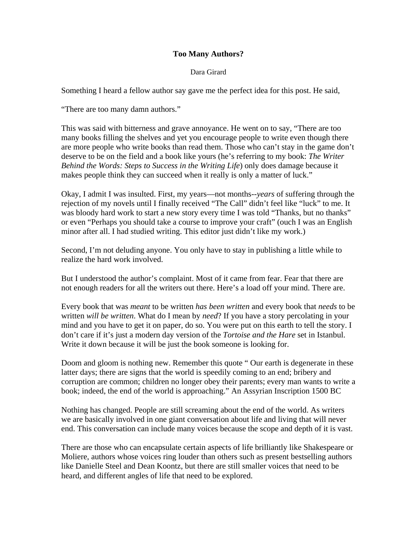## **Too Many Authors?**

## Dara Girard

Something I heard a fellow author say gave me the perfect idea for this post. He said,

"There are too many damn authors."

This was said with bitterness and grave annoyance. He went on to say, "There are too many books filling the shelves and yet you encourage people to write even though there are more people who write books than read them. Those who can't stay in the game don't deserve to be on the field and a book like yours (he's referring to my book: *The Writer Behind the Words: Steps to Success in the Writing Life*) only does damage because it makes people think they can succeed when it really is only a matter of luck."

Okay, I admit I was insulted. First, my years—not months--*years* of suffering through the rejection of my novels until I finally received "The Call" didn't feel like "luck" to me. It was bloody hard work to start a new story every time I was told "Thanks, but no thanks" or even "Perhaps you should take a course to improve your craft" (ouch I was an English minor after all. I had studied writing. This editor just didn't like my work.)

Second, I'm not deluding anyone. You only have to stay in publishing a little while to realize the hard work involved.

But I understood the author's complaint. Most of it came from fear. Fear that there are not enough readers for all the writers out there. Here's a load off your mind. There are.

Every book that was *meant* to be written *has been written* and every book that *needs* to be written *will be written*. What do I mean by *need*? If you have a story percolating in your mind and you have to get it on paper, do so. You were put on this earth to tell the story. I don't care if it's just a modern day version of the *Tortoise and the Hare* set in Istanbul. Write it down because it will be just the book someone is looking for.

Doom and gloom is nothing new. Remember this quote " Our earth is degenerate in these latter days; there are signs that the world is speedily coming to an end; bribery and corruption are common; children no longer obey their parents; every man wants to write a book; indeed, the end of the world is approaching." An Assyrian Inscription 1500 BC

Nothing has changed. People are still screaming about the end of the world. As writers we are basically involved in one giant conversation about life and living that will never end. This conversation can include many voices because the scope and depth of it is vast.

There are those who can encapsulate certain aspects of life brilliantly like Shakespeare or Moliere, authors whose voices ring louder than others such as present bestselling authors like Danielle Steel and Dean Koontz, but there are still smaller voices that need to be heard, and different angles of life that need to be explored.